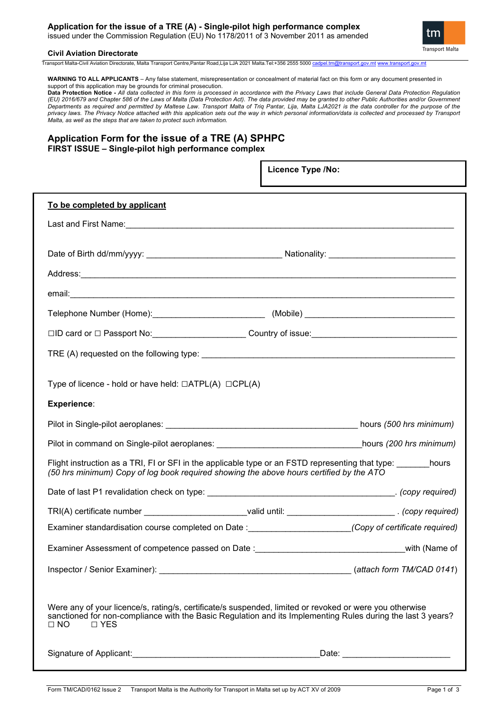# **Application for the issue of a TRE (A) - Single-pilot high performance complex**

issued under the Commission Regulation (EU) No 1178/2011 of 3 November 2011 as amended



#### **Civil Aviation Directorate**

Transport Malta-Civil Aviation Directorate, Malta Transport Centre,Pantar Road,Lija LJA 2021 Malta.Tel:+356 2555 5000 [cadpel.tm@transport.gov.mt](mailto:cadpel.tm@transport.gov.mt) www.transport.gov.m

**WARNING TO ALL APPLICANTS** – Any false statement, misrepresentation or concealment of material fact on this form or any document presented in support of this application may be grounds for criminal prosecution.

**Data Protection Notice -** *All data collected in this form is processed in accordance with the Privacy Laws that include General Data Protection Regulation (EU) 2016/679 and Chapter 586 of the Laws of Malta (Data Protection Act). The data provided may be granted to other Public Authorities and/or Government Departments as required and permitted by Maltese Law. Transport Malta of Triq Pantar, Lija, Malta LJA2021 is the data controller for the purpose of the privacy laws. The Privacy Notice attached with this application sets out the way in which personal information/data is collected and processed by Transport Malta, as well as the steps that are taken to protect such information.*

## **Application Form for the issue of a TRE (A) SPHPC FIRST ISSUE – Single-pilot high performance complex**

|                                                                                                                                                                                                                                                      | Licence Type /No:                    |  |
|------------------------------------------------------------------------------------------------------------------------------------------------------------------------------------------------------------------------------------------------------|--------------------------------------|--|
| To be completed by applicant                                                                                                                                                                                                                         |                                      |  |
|                                                                                                                                                                                                                                                      |                                      |  |
|                                                                                                                                                                                                                                                      |                                      |  |
| Address: Address: Address: Address: Address: Address: Address: Address: Address: Address: Address: Address: Address: Address: Address: Address: Address: Address: Address: Address: Address: Address: Address: Address: Addres                       |                                      |  |
|                                                                                                                                                                                                                                                      |                                      |  |
|                                                                                                                                                                                                                                                      |                                      |  |
|                                                                                                                                                                                                                                                      |                                      |  |
|                                                                                                                                                                                                                                                      |                                      |  |
| Type of licence - hold or have held: $\Box$ ATPL(A) $\Box$ CPL(A)                                                                                                                                                                                    |                                      |  |
| <b>Experience:</b>                                                                                                                                                                                                                                   |                                      |  |
|                                                                                                                                                                                                                                                      |                                      |  |
| Pilot in command on Single-pilot aeroplanes: ___________________________________hours (200 hrs minimum)                                                                                                                                              |                                      |  |
| Flight instruction as a TRI, FI or SFI in the applicable type or an FSTD representing that type: _______hours<br>(50 hrs minimum) Copy of log book required showing the above hours certified by the ATO                                             |                                      |  |
|                                                                                                                                                                                                                                                      |                                      |  |
| TRI(A) certificate number _________________________valid until: __________________________. (copy required)                                                                                                                                          |                                      |  |
| Examiner standardisation course completed on Date :_______________________(Copy of certificate required)                                                                                                                                             |                                      |  |
| Examiner Assessment of competence passed on Date : examiner and an examiner Assessment of competence passed on Date : examined and an examine of                                                                                                     |                                      |  |
|                                                                                                                                                                                                                                                      |                                      |  |
| Were any of your licence/s, rating/s, certificate/s suspended, limited or revoked or were you otherwise<br>sanctioned for non-compliance with the Basic Regulation and its Implementing Rules during the last 3 years?<br>$\Box$ NO<br>$\square$ YES |                                      |  |
|                                                                                                                                                                                                                                                      | _Date: _____________________________ |  |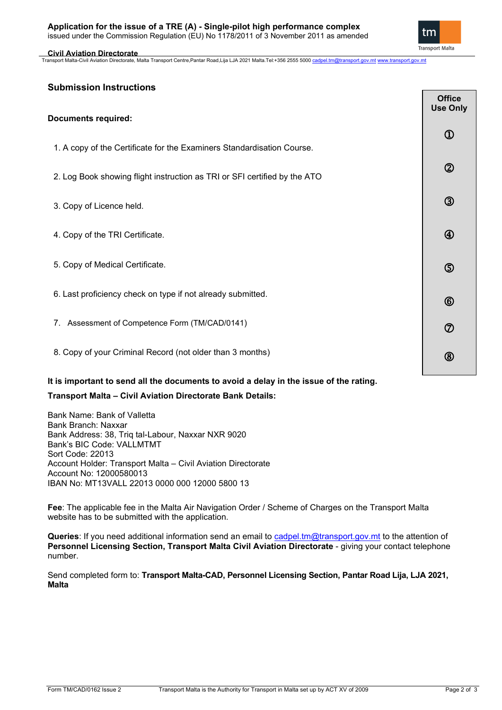#### **Application for the issue of a TRE (A) - Single-pilot high performance complex** issued under the Commission Regulation (EU) No 1178/2011 of 3 November 2011 as amended

#### **Civil Aviation Directorate**

tm **Transport Malta** 

Transport Malta-Civil Aviation Directorate, Malta Transport Centre,Pantar Road,Lija LJA 2021 Malta.Tel:+356 2555 5000 [cadpel.tm@transport.gov.mt](mailto:cadpel.tm@transport.gov.mt) [www.transport.gov.mt](http://www.transport.gov.mt/)

## **Submission Instructions**

| <b>Documents required:</b>                                                             | <b>Office</b><br><b>Use Only</b> |
|----------------------------------------------------------------------------------------|----------------------------------|
| 1. A copy of the Certificate for the Examiners Standardisation Course.                 | $^\mathrm{\textregistered}$      |
| 2. Log Book showing flight instruction as TRI or SFI certified by the ATO              | $^{\circledR}$                   |
| 3. Copy of Licence held.                                                               | $^{\circledR}$                   |
| 4. Copy of the TRI Certificate.                                                        | $\bigcirc$                       |
| 5. Copy of Medical Certificate.                                                        | $\circledS$                      |
| 6. Last proficiency check on type if not already submitted.                            | $\circledcirc$                   |
| 7. Assessment of Competence Form (TM/CAD/0141)                                         | $\circledcirc$                   |
| 8. Copy of your Criminal Record (not older than 3 months)                              | $^{\circledR}$                   |
| It is important to send all the documents to avoid a delay in the issue of the rating. |                                  |

# **Transport Malta – Civil Aviation Directorate Bank Details:**

Bank Name: Bank of Valletta Bank Branch: Naxxar Bank Address: 38, Triq tal-Labour, Naxxar NXR 9020 Bank's BIC Code: VALLMTMT Sort Code: 22013 Account Holder: Transport Malta – Civil Aviation Directorate Account No: 12000580013 IBAN No: MT13VALL 22013 0000 000 12000 5800 13

**Fee**: The applicable fee in the Malta Air Navigation Order / Scheme of Charges on the Transport Malta website has to be submitted with the application.

**Queries**: If you need additional information send an email to [cadpel.tm@transport.gov.mt](mailto:cadpel.tm@transport.gov.mt) to the attention of **Personnel Licensing Section, Transport Malta Civil Aviation Directorate - giving your contact telephone** number.

Send completed form to: **Transport Malta-CAD, Personnel Licensing Section, Pantar Road Lija, LJA 2021, Malta**